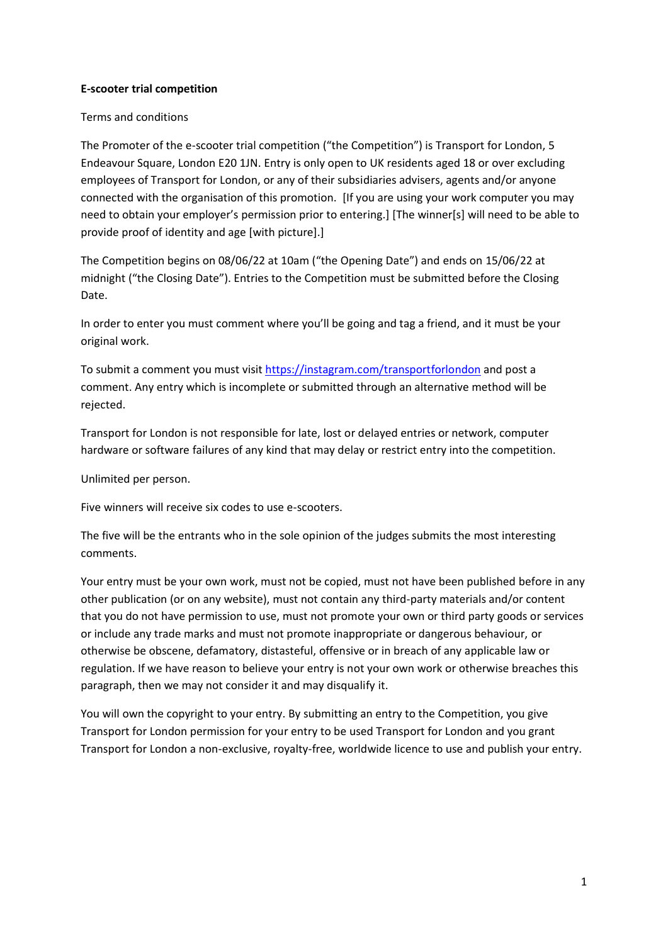## **E-scooter trial competition**

## Terms and conditions

The Promoter of the e-scooter trial competition ("the Competition") is Transport for London, 5 Endeavour Square, London E20 1JN. Entry is only open to UK residents aged 18 or over excluding employees of Transport for London, or any of their subsidiaries advisers, agents and/or anyone connected with the organisation of this promotion. [If you are using your work computer you may need to obtain your employer's permission prior to entering.] [The winner[s] will need to be able to provide proof of identity and age [with picture].]

The Competition begins on 08/06/22 at 10am ("the Opening Date") and ends on 15/06/22 at midnight ("the Closing Date"). Entries to the Competition must be submitted before the Closing Date.

In order to enter you must comment where you'll be going and tag a friend, and it must be your original work.

To submit a comment you must visit <https://instagram.com/transportforlondon> and post a comment. Any entry which is incomplete or submitted through an alternative method will be rejected.

Transport for London is not responsible for late, lost or delayed entries or network, computer hardware or software failures of any kind that may delay or restrict entry into the competition.

Unlimited per person.

Five winners will receive six codes to use e-scooters.

The five will be the entrants who in the sole opinion of the judges submits the most interesting comments.

Your entry must be your own work, must not be copied, must not have been published before in any other publication (or on any website), must not contain any third-party materials and/or content that you do not have permission to use, must not promote your own or third party goods or services or include any trade marks and must not promote inappropriate or dangerous behaviour, or otherwise be obscene, defamatory, distasteful, offensive or in breach of any applicable law or regulation. If we have reason to believe your entry is not your own work or otherwise breaches this paragraph, then we may not consider it and may disqualify it.

You will own the copyright to your entry. By submitting an entry to the Competition, you give Transport for London permission for your entry to be used Transport for London and you grant Transport for London a non-exclusive, royalty-free, worldwide licence to use and publish your entry.